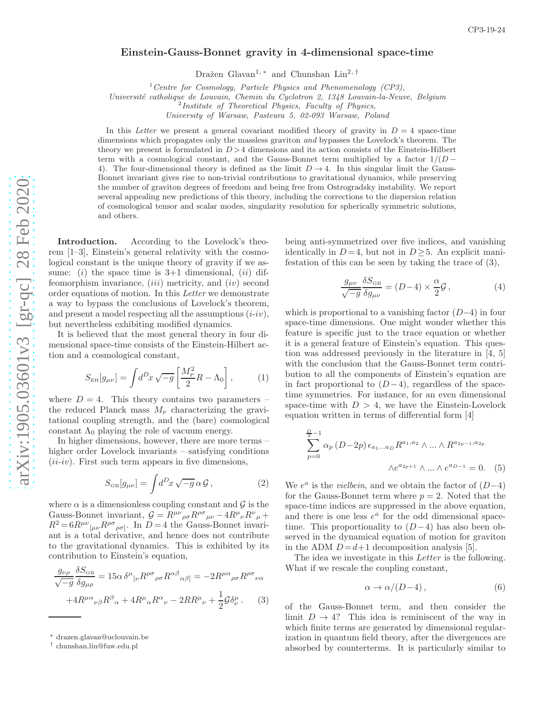## Einstein-Gauss-Bonnet gravity in 4-dimensional space-time

Dražen Glavan<sup>1,\*</sup> and Chunshan Lin<sup>2,[†](#page-0-1)</sup>

<sup>1</sup> Centre for Cosmology, Particle Physics and Phenomenology (CP3),

Université catholique de Louvain, Chemin du Cyclotron 2, 1348 Louvain-la-Neuve, Belgium

 $2$ Institute of Theoretical Physics, Faculty of Physics,

University of Warsaw, Pasteura 5, 02-093 Warsaw, Poland

In this Letter we present a general covariant modified theory of gravity in  $D = 4$  space-time dimensions which propagates only the massless graviton and bypasses the Lovelock's theorem. The theory we present is formulated in  $D > 4$  dimensions and its action consists of the Einstein-Hilbert term with a cosmological constant, and the Gauss-Bonnet term multiplied by a factor  $1/(D -$ 4). The four-dimensional theory is defined as the limit  $D \rightarrow 4$ . In this singular limit the Gauss-Bonnet invariant gives rise to non-trivial contributions to gravitational dynamics, while preserving the number of graviton degrees of freedom and being free from Ostrogradsky instability. We report several appealing new predictions of this theory, including the corrections to the dispersion relation of cosmological tensor and scalar modes, singularity resolution for spherically symmetric solutions, and others.

Introduction. According to the Lovelock's theorem [\[1](#page-4-0)[–3\]](#page-4-1), Einstein's general relativity with the cosmological constant is the unique theory of gravity if we assume: (i) the space time is  $3+1$  dimensional, (ii) diffeomorphism invariance,  $(iii)$  metricity, and  $(iv)$  second order equations of motion. In this Letter we demonstrate a way to bypass the conclusions of Lovelock's theorem, and present a model respecting all the assumptions  $(i\text{-}iv)$ , but nevertheless exhibiting modified dynamics.

It is believed that the most general theory in four dimensional space-time consists of the Einstein-Hilbert action and a cosmological constant,

$$
S_{\text{EH}}[g_{\mu\nu}] = \int d^D x \sqrt{-g} \left[ \frac{M_{\text{P}}^2}{2} R - \Lambda_0 \right],\tag{1}
$$

where  $D=4$ . This theory contains two parameters – the reduced Planck mass  $M_{\rm P}$  characterizing the gravitational coupling strength, and the (bare) cosmological constant  $\Lambda_0$  playing the role of vacuum energy.

In higher dimensions, however, there are more terms – higher order Lovelock invariants – satisfying conditions  $(i\ell i$ -iv). First such term appears in five dimensions,

$$
S_{\text{GB}}[g_{\mu\nu}] = \int d^D x \sqrt{-g} \,\alpha \mathcal{G}, \qquad (2)
$$

where  $\alpha$  is a dimensionless coupling constant and  $\mathcal G$  is the Gauss-Bonnet invariant,  $\mathcal{G} = R^{\mu\nu}{}_{\rho\sigma}R^{\rho\sigma}{}_{\mu\nu} - 4R^{\mu}{}_{\nu}R^{\nu}{}_{\mu} +$  $R^2 = 6R^{\mu\nu}{}_{[\mu\nu}R^{\rho\sigma}{}_{\rho\sigma]}$ . In  $D = 4$  the Gauss-Bonnet invariant is a total derivative, and hence does not contribute to the gravitational dynamics. This is exhibited by its contribution to Einstein's equation,

<span id="page-0-2"></span>
$$
\frac{g_{\nu\rho}}{\sqrt{-g}} \frac{\delta S_{\text{GB}}}{\delta g_{\mu\rho}} = 15\alpha \delta^{\mu}{}_{[\nu} R^{\rho\sigma}{}_{\rho\sigma} R^{\alpha\beta}{}_{\alpha\beta]} = -2R^{\mu\alpha}{}_{\rho\sigma} R^{\rho\sigma}{}_{\nu\alpha}
$$

$$
+4R^{\mu\alpha}{}_{\nu\beta} R^{\beta}{}_{\alpha} + 4R^{\mu}{}_{\alpha} R^{\alpha}{}_{\nu} - 2R R^{\mu}{}_{\nu} + \frac{1}{2} \mathcal{G} \delta^{\mu}_{\nu}. \tag{3}
$$

being anti-symmetrized over five indices, and vanishing identically in  $D=4$ , but not in  $D\geq 5$ . An explicit manifestation of this can be seen by taking the trace of [\(3\)](#page-0-2),

$$
\frac{g_{\mu\nu}}{\sqrt{-g}} \frac{\delta S_{\text{GB}}}{\delta g_{\mu\nu}} = (D-4) \times \frac{\alpha}{2} \mathcal{G},\qquad (4)
$$

which is proportional to a vanishing factor  $(D-4)$  in four space-time dimensions. One might wonder whether this feature is specific just to the trace equation or whether it is a general feature of Einstein's equation. This question was addressed previously in the literature in [\[4,](#page-4-2) [5](#page-4-3)] with the conclusion that the Gauss-Bonnet term contribution to all the components of Einstein's equation are in fact proportional to  $(D-4)$ , regardless of the spacetime symmetries. For instance, for an even dimensional space-time with  $D > 4$ , we have the Einstein-Lovelock equation written in terms of differential form [\[4\]](#page-4-2)

$$
\sum_{p=0}^{\frac{D}{2}-1} \alpha_p (D-2p) \epsilon_{a_1...a_D} R^{a_1, a_2} \wedge ... \wedge R^{a_{2p-1}, a_{2p}}
$$

$$
\wedge e^{a_{2p+1}} \wedge ... \wedge e^{a_{D-1}} = 0. \quad (5)
$$

We  $e^a$  is the *vielbein*, and we obtain the factor of  $(D-4)$ for the Gauss-Bonnet term where  $p = 2$ . Noted that the space-time indices are suppressed in the above equation, and there is one less  $e^a$  for the odd dimensional spacetime. This proportionality to  $(D-4)$  has also been observed in the dynamical equation of motion for graviton in the ADM  $D=d+1$  decomposition analysis [\[5\]](#page-4-3).

The idea we investigate in this *Letter* is the following. What if we rescale the coupling constant,

<span id="page-0-3"></span>
$$
\alpha \to \alpha/(D-4)\,,\tag{6}
$$

of the Gauss-Bonnet term, and then consider the limit  $D \to 4$ ? This idea is reminiscent of the way in which finite terms are generated by dimensional regularization in quantum field theory, after the divergences are absorbed by counterterms. It is particularly similar to

<span id="page-0-0"></span><sup>∗</sup> [drazen.glavan@uclouvain.be](mailto:drazen.glavan@uclouvain.be)

<span id="page-0-1"></span><sup>†</sup> [chunshan.lin@fuw.edu.pl](mailto:chunshan.lin@fuw.edu.pl)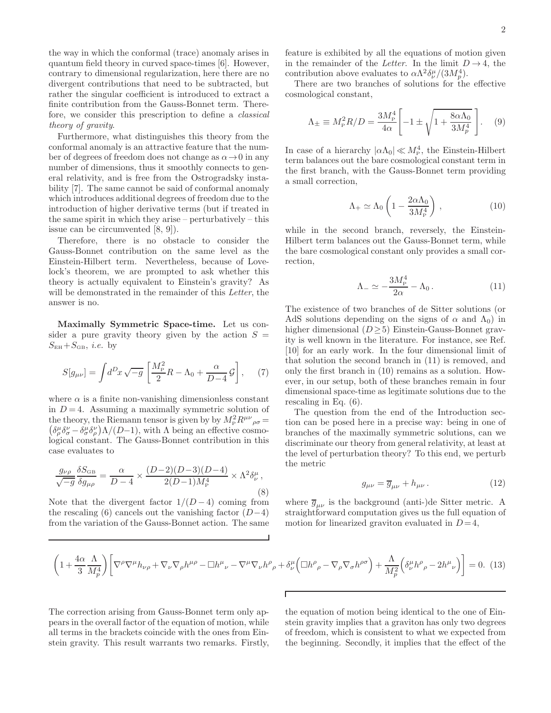the way in which the conformal (trace) anomaly arises in quantum field theory in curved space-times [\[6\]](#page-5-0). However, contrary to dimensional regularization, here there are no divergent contributions that need to be subtracted, but rather the singular coefficient is introduced to extract a finite contribution from the Gauss-Bonnet term. Therefore, we consider this prescription to define a classical theory of gravity.

Furthermore, what distinguishes this theory from the conformal anomaly is an attractive feature that the number of degrees of freedom does not change as  $\alpha \rightarrow 0$  in any number of dimensions, thus it smoothly connects to general relativity, and is free from the Ostrogradsky instability [\[7](#page-5-1)]. The same cannot be said of conformal anomaly which introduces additional degrees of freedom due to the introduction of higher derivative terms (but if treated in the same spirit in which they arise – perturbatively – this issue can be circumvented [\[8](#page-5-2), [9](#page-5-3)]).

Therefore, there is no obstacle to consider the Gauss-Bonnet contribution on the same level as the Einstein-Hilbert term. Nevertheless, because of Lovelock's theorem, we are prompted to ask whether this theory is actually equivalent to Einstein's gravity? As will be demonstrated in the remainder of this Letter, the answer is no.

Maximally Symmetric Space-time. Let us consider a pure gravity theory given by the action  $S =$  $S_{EH}+S_{GB}$ , *i.e.* by

<span id="page-1-3"></span>
$$
S[g_{\mu\nu}] = \int d^D x \sqrt{-g} \left[ \frac{M_{\rm P}^2}{2} R - \Lambda_0 + \frac{\alpha}{D - 4} \mathcal{G} \right], \quad (7)
$$

where  $\alpha$  is a finite non-vanishing dimensionless constant in  $D = 4$ . Assuming a maximally symmetric solution of the theory, the Riemann tensor is given by by  $M_P^2 R^{\mu\nu}{}_{\rho\sigma} =$  $\left(\delta^{\mu}_{\rho}\delta^{\nu}_{\sigma}-\delta^{\mu}_{\sigma}\delta^{\nu}_{\rho}\right)\Lambda/(D-1)$ , with  $\Lambda$  being an effective cosmological constant. The Gauss-Bonnet contribution in this case evaluates to

$$
\frac{g_{\nu\rho}}{\sqrt{-g}} \frac{\delta S_{\text{GB}}}{\delta g_{\mu\rho}} = \frac{\alpha}{D-4} \times \frac{(D-2)(D-3)(D-4)}{2(D-1)M_P^4} \times \Lambda^2 \delta_{\nu}^{\mu},\tag{8}
$$

Note that the divergent factor  $1/(D-4)$  coming from the rescaling [\(6\)](#page-0-3) cancels out the vanishing factor  $(D-4)$ from the variation of the Gauss-Bonnet action. The same

feature is exhibited by all the equations of motion given in the remainder of the Letter. In the limit  $D \rightarrow 4$ , the contribution above evaluates to  $\alpha \Lambda^2 \delta_\nu^{\mu}/(3M_p^4)$ .

There are two branches of solutions for the effective cosmological constant,

$$
\Lambda_{\pm} \equiv M_{\rm P}^2 R/D = \frac{3M_{\rm P}^4}{4\alpha} \left[ -1 \pm \sqrt{1 + \frac{8\alpha\Lambda_0}{3M_p^4}} \right]. \quad (9)
$$

In case of a hierarchy  $|\alpha \Lambda_0| \ll M_P^4$ , the Einstein-Hilbert term balances out the bare cosmological constant term in the first branch, with the Gauss-Bonnet term providing a small correction,

<span id="page-1-1"></span>
$$
\Lambda_{+} \simeq \Lambda_{0} \left( 1 - \frac{2\alpha \Lambda_{0}}{3M_{\rm P}^{4}} \right) , \qquad (10)
$$

while in the second branch, reversely, the Einstein-Hilbert term balances out the Gauss-Bonnet term, while the bare cosmological constant only provides a small correction,

<span id="page-1-0"></span>
$$
\Lambda_{-} \simeq -\frac{3M_{\rm P}^4}{2\alpha} - \Lambda_0 \,. \tag{11}
$$

The existence of two branches of de Sitter solutions (or AdS solutions depending on the signs of  $\alpha$  and  $\Lambda_0$ ) in higher dimensional  $(D \geq 5)$  Einstein-Gauss-Bonnet gravity is well known in the literature. For instance, see Ref. [\[10\]](#page-5-4) for an early work. In the four dimensional limit of that solution the second branch in [\(11\)](#page-1-0) is removed, and only the first branch in [\(10\)](#page-1-1) remains as a solution. However, in our setup, both of these branches remain in four dimensional space-time as legitimate solutions due to the rescaling in Eq. [\(6\)](#page-0-3).

The question from the end of the Introduction section can be posed here in a precise way: being in one of branches of the maximally symmetric solutions, can we discriminate our theory from general relativity, at least at the level of perturbation theory? To this end, we perturb the metric

$$
g_{\mu\nu} = \overline{g}_{\mu\nu} + h_{\mu\nu} \,. \tag{12}
$$

where  $\overline{g}_{\mu\nu}$  is the background (anti-)de Sitter metric. A straightforward computation gives us the full equation of motion for linearized graviton evaluated in  $D=4$ ,

<span id="page-1-2"></span>
$$
\left(1+\frac{4\alpha}{3}\frac{\Lambda}{M_p^4}\right)\left[\nabla^{\rho}\nabla^{\mu}h_{\nu\rho}+\nabla_{\nu}\nabla_{\rho}h^{\mu\rho}-\Box h^{\mu}{}_{\nu}-\nabla^{\mu}\nabla_{\nu}h^{\rho}{}_{\rho}+\delta^{\mu}_{\nu}\left(\Box h^{\rho}{}_{\rho}-\nabla_{\rho}\nabla_{\sigma}h^{\rho\sigma}\right)+\frac{\Lambda}{M_p^2}\left(\delta^{\mu}_{\nu}h^{\rho}{}_{\rho}-2h^{\mu}{}_{\nu}\right)\right]=0.\tag{13}
$$

The correction arising from Gauss-Bonnet term only appears in the overall factor of the equation of motion, while all terms in the brackets coincide with the ones from Einstein gravity. This result warrants two remarks. Firstly,

the equation of motion being identical to the one of Einstein gravity implies that a graviton has only two degrees of freedom, which is consistent to what we expected from the beginning. Secondly, it implies that the effect of the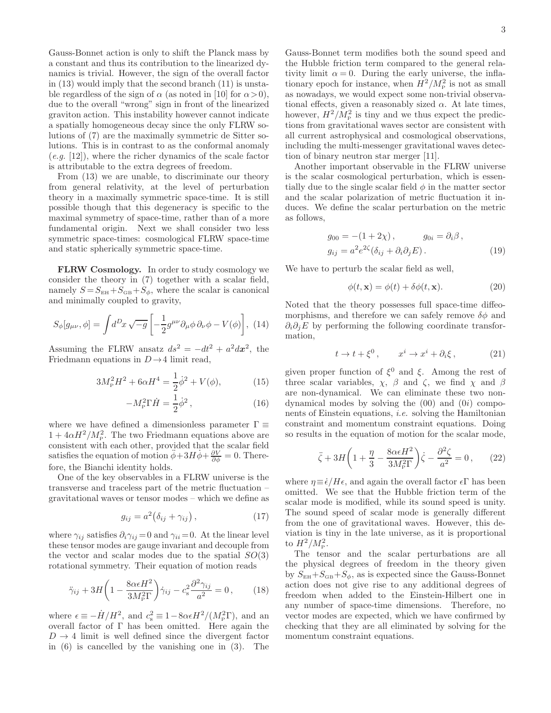Gauss-Bonnet action is only to shift the Planck mass by a constant and thus its contribution to the linearized dynamics is trivial. However, the sign of the overall factor in [\(13\)](#page-1-2) would imply that the second branch [\(11\)](#page-1-0) is unstable regardless of the sign of  $\alpha$  (as noted in [\[10\]](#page-5-4) for  $\alpha > 0$ ), due to the overall "wrong" sign in front of the linearized graviton action. This instability however cannot indicate a spatially homogeneous decay since the only FLRW solutions of [\(7\)](#page-1-3) are the maximally symmetric de Sitter solutions. This is in contrast to as the conformal anomaly  $(e.g. [12])$  $(e.g. [12])$  $(e.g. [12])$ , where the richer dynamics of the scale factor is attributable to the extra degrees of freedom.

From [\(13\)](#page-1-2) we are unable, to discriminate our theory from general relativity, at the level of perturbation theory in a maximally symmetric space-time. It is still possible though that this degeneracy is specific to the maximal symmetry of space-time, rather than of a more fundamental origin. Next we shall consider two less symmetric space-times: cosmological FLRW space-time and static spherically symmetric space-time.

FLRW Cosmology. In order to study cosmology we consider the theory in [\(7\)](#page-1-3) together with a scalar field, namely  $S = S_{EH} + S_{GB} + S_{\phi}$ , where the scalar is canonical and minimally coupled to gravity,

$$
S_{\phi}[g_{\mu\nu}, \phi] = \int d^D x \sqrt{-g} \left[ -\frac{1}{2} g^{\mu\nu} \partial_{\mu} \phi \, \partial_{\nu} \phi - V(\phi) \right], \tag{14}
$$

Assuming the FLRW ansatz  $ds^2 = -dt^2 + a^2 dx^2$ , the Friedmann equations in  $D\rightarrow 4$  limit read,

$$
3M_{\rm P}^2 H^2 + 6\alpha H^4 = \frac{1}{2}\dot{\phi}^2 + V(\phi),\tag{15}
$$

$$
-M_{\rm P}^2 \Gamma \dot{H} = \frac{1}{2} \dot{\phi}^2, \qquad (16)
$$

where we have defined a dimensionless parameter  $\Gamma \equiv$  $1 + 4\alpha H^2/M_P^2$ . The two Friedmann equations above are consistent with each other, provided that the scalar field satisfies the equation of motion  $\ddot{\phi} + 3H\dot{\phi} + \frac{\partial V}{\partial \phi} = 0$ . Therefore, the Bianchi identity holds.

One of the key observables in a FLRW universe is the transverse and traceless part of the metric fluctuation – gravitational waves or tensor modes – which we define as

$$
g_{ij} = a^2 \big( \delta_{ij} + \gamma_{ij} \big) , \qquad (17)
$$

where  $\gamma_{ij}$  satisfies  $\partial_i \gamma_{ij} = 0$  and  $\gamma_{ii} = 0$ . At the linear level these tensor modes are gauge invariant and decouple from the vector and scalar modes due to the spatial  $SO(3)$ rotational symmetry. Their equation of motion reads

$$
\ddot{\gamma}_{ij} + 3H\left(1 - \frac{8\alpha\epsilon H^2}{3M_{\rm P}^2\Gamma}\right)\dot{\gamma}_{ij} - c_s^2 \frac{\partial^2 \gamma_{ij}}{a^2} = 0\,,\qquad(18)
$$

where  $\epsilon \equiv -\dot{H}/H^2$ , and  $c_s^2 \equiv 1-8\alpha\epsilon H^2/(M_p^2\Gamma)$ , and an overall factor of Γ has been omitted. Here again the  $D \rightarrow 4$  limit is well defined since the divergent factor in [\(6\)](#page-0-3) is cancelled by the vanishing one in [\(3\)](#page-0-2). The

Gauss-Bonnet term modifies both the sound speed and the Hubble friction term compared to the general relativity limit  $\alpha = 0$ . During the early universe, the inflationary epoch for instance, when  $H^2/M_{\rm P}^2$  is not as small as nowadays, we would expect some non-trivial observational effects, given a reasonably sized  $\alpha$ . At late times, however,  $H^2/M_{\rm P}^2$  is tiny and we thus expect the predictions from gravitational waves sector are consistent with all current astrophysical and cosmological observations, including the multi-messenger gravitational waves detection of binary neutron star merger [\[11](#page-5-6)].

Another important observable in the FLRW universe is the scalar cosmological perturbation, which is essentially due to the single scalar field  $\phi$  in the matter sector and the scalar polarization of metric fluctuation it induces. We define the scalar perturbation on the metric as follows,

$$
g_{00} = -(1+2\chi), \qquad g_{0i} = \partial_i \beta,
$$
  
\n
$$
g_{ij} = a^2 e^{2\zeta} (\delta_{ij} + \partial_i \partial_j E).
$$
 (19)

We have to perturb the scalar field as well,

$$
\phi(t, \mathbf{x}) = \phi(t) + \delta\phi(t, \mathbf{x}).\tag{20}
$$

Noted that the theory possesses full space-time diffeomorphisms, and therefore we can safely remove  $\delta\phi$  and  $\partial_i \partial_j E$  by performing the following coordinate transformation,

$$
t \to t + \xi^0, \qquad x^i \to x^i + \partial_i \xi, \tag{21}
$$

given proper function of  $\xi^0$  and  $\xi$ . Among the rest of three scalar variables,  $\chi$ ,  $\beta$  and  $\zeta$ , we find  $\chi$  and  $\beta$ are non-dynamical. We can eliminate these two nondynamical modes by solving the  $(00)$  and  $(0i)$  components of Einstein equations, i.e. solving the Hamiltonian constraint and momentum constraint equations. Doing so results in the equation of motion for the scalar mode,

$$
\ddot{\zeta} + 3H\left(1 + \frac{\eta}{3} - \frac{8\alpha\epsilon H^2}{3M_{\rm P}^2\Gamma}\right)\dot{\zeta} - \frac{\partial^2 \zeta}{a^2} = 0\,,\qquad(22)
$$

where  $\eta \equiv \dot{\epsilon}/H\epsilon$ , and again the overall factor  $\epsilon \Gamma$  has been omitted. We see that the Hubble friction term of the scalar mode is modified, while its sound speed is unity. The sound speed of scalar mode is generally different from the one of gravitational waves. However, this deviation is tiny in the late universe, as it is proportional to  $H^2/M_{\rm P}^2$ .

The tensor and the scalar perturbations are all the physical degrees of freedom in the theory given by  $S_{EH}+S_{GB}+S_{\phi}$ , as is expected since the Gauss-Bonnet action does not give rise to any additional degrees of freedom when added to the Einstein-Hilbert one in any number of space-time dimensions. Therefore, no vector modes are expected, which we have confirmed by checking that they are all eliminated by solving for the momentum constraint equations.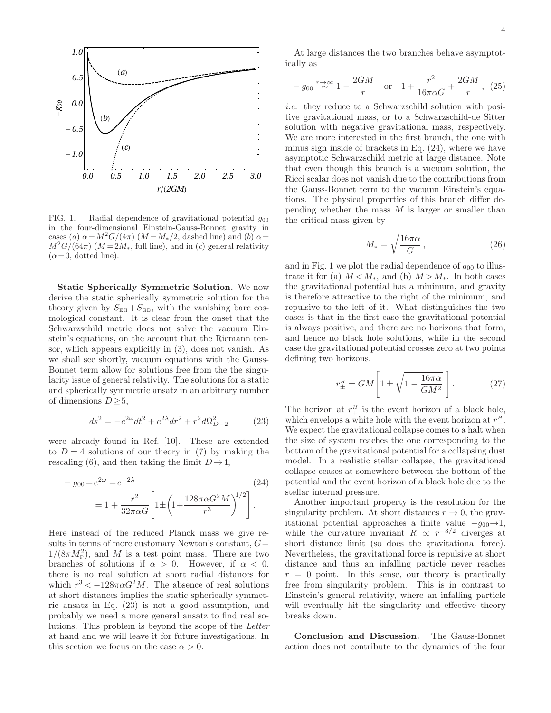

<span id="page-3-2"></span>FIG. 1. Radial dependence of gravitational potential  $g_{00}$ in the four-dimensional Einstein-Gauss-Bonnet gravity in cases (a)  $\alpha = M^2G/(4\pi)$  ( $M = M_*/2$ , dashed line) and (b)  $\alpha =$  $M^2G/(64\pi)$  ( $M = 2M_*$ , full line), and in (c) general relativity  $(\alpha = 0, \text{ dotted line}).$ 

Static Spherically Symmetric Solution. We now derive the static spherically symmetric solution for the theory given by  $S_{EH}+S_{GB}$ , with the vanishing bare cosmological constant. It is clear from the onset that the Schwarzschild metric does not solve the vacuum Einstein's equations, on the account that the Riemann tensor, which appears explicitly in [\(3\)](#page-0-2), does not vanish. As we shall see shortly, vacuum equations with the Gauss-Bonnet term allow for solutions free from the the singularity issue of general relativity. The solutions for a static and spherically symmetric ansatz in an arbitrary number of dimensions  $D \geq 5$ ,

<span id="page-3-0"></span>
$$
ds^{2} = -e^{2\omega}dt^{2} + e^{2\lambda}dr^{2} + r^{2}d\Omega_{D-2}^{2}
$$
 (23)

were already found in Ref. [\[10\]](#page-5-4). These are extended to  $D = 4$  solutions of our theory in [\(7\)](#page-1-3) by making the rescaling [\(6\)](#page-0-3), and then taking the limit  $D\rightarrow 4$ ,

$$
- g_{00} = e^{2\omega} = e^{-2\lambda}
$$
\n
$$
= 1 + \frac{r^2}{32\pi\alpha G} \left[ 1 \pm \left( 1 + \frac{128\pi\alpha G^2 M}{r^3} \right)^{1/2} \right].
$$
\n(24)

Here instead of the reduced Planck mass we give results in terms of more customary Newton's constant,  $G=$  $1/(8\pi M_P^2)$ , and M is a test point mass. There are two branches of solutions if  $\alpha > 0$ . However, if  $\alpha < 0$ , there is no real solution at short radial distances for which  $r^3 < -128\pi \alpha G^2 M$ . The absence of real solutions at short distances implies the static spherically symmetric ansatz in Eq. [\(23\)](#page-3-0) is not a good assumption, and probably we need a more general ansatz to find real solutions. This problem is beyond the scope of the Letter at hand and we will leave it for future investigations. In this section we focus on the case  $\alpha > 0$ .

At large distances the two branches behave asymptotically as

$$
-g_{00} \stackrel{r \to \infty}{\sim} 1 - \frac{2GM}{r} \quad \text{or} \quad 1 + \frac{r^2}{16\pi\alpha G} + \frac{2GM}{r}, \tag{25}
$$

i.e. they reduce to a Schwarzschild solution with positive gravitational mass, or to a Schwarzschild-de Sitter solution with negative gravitational mass, respectively. We are more interested in the first branch, the one with minus sign inside of brackets in Eq. [\(24\)](#page-3-1), where we have asymptotic Schwarzschild metric at large distance. Note that even though this branch is a vacuum solution, the Ricci scalar does not vanish due to the contributions from the Gauss-Bonnet term to the vacuum Einstein's equations. The physical properties of this branch differ depending whether the mass  $M$  is larger or smaller than the critical mass given by

$$
M_* = \sqrt{\frac{16\pi\alpha}{G}},\qquad(26)
$$

and in Fig. [1](#page-3-2) we plot the radial dependence of  $g_{00}$  to illustrate it for (a)  $M < M_*,$  and (b)  $M > M_*$ . In both cases the gravitational potential has a minimum, and gravity is therefore attractive to the right of the minimum, and repulsive to the left of it. What distinguishes the two cases is that in the first case the gravitational potential is always positive, and there are no horizons that form, and hence no black hole solutions, while in the second case the gravitational potential crosses zero at two points defining two horizons,

$$
r_{\pm}^H = GM \left[ 1 \pm \sqrt{1 - \frac{16\pi\alpha}{GM^2}} \right].
$$
 (27)

The horizon at  $r_+^H$  is the event horizon of a black hole, which envelops a white hole with the event horizon at  $r_{-}^{\mu}$ . We expect the gravitational collapse comes to a halt when the size of system reaches the one corresponding to the bottom of the gravitational potential for a collapsing dust model. In a realistic stellar collapse, the gravitational collapse ceases at somewhere between the bottom of the potential and the event horizon of a black hole due to the stellar internal pressure.

<span id="page-3-1"></span>Another important property is the resolution for the singularity problem. At short distances  $r \to 0$ , the gravitational potential approaches a finite value  $-g_{00}\rightarrow 1$ , while the curvature invariant  $R \propto r^{-3/2}$  diverges at short distance limit (so does the gravitational force). Nevertheless, the gravitational force is repulsive at short distance and thus an infalling particle never reaches  $r = 0$  point. In this sense, our theory is practically free from singularity problem. This is in contrast to Einstein's general relativity, where an infalling particle will eventually hit the singularity and effective theory breaks down.

Conclusion and Discussion. The Gauss-Bonnet action does not contribute to the dynamics of the four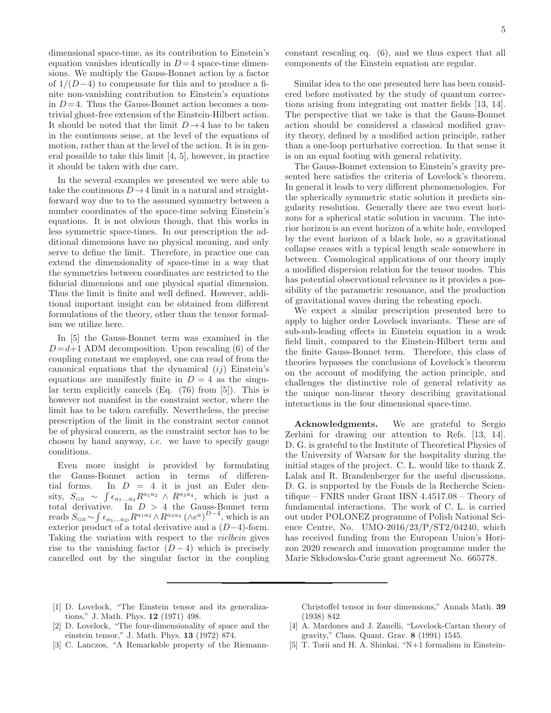dimensional space-time, as its contribution to Einstein's equation vanishes identically in  $D=4$  space-time dimensions. We multiply the Gauss-Bonnet action by a factor of  $1/(D-4)$  to compensate for this and to produce a finite non-vanishing contribution to Einstein's equations in  $D=4$ . Thus the Gauss-Bonnet action becomes a nontrivial ghost-free extension of the Einstein-Hilbert action. It should be noted that the limit  $D\to 4$  has to be taken in the continuous sense, at the level of the equations of motion, rather than at the level of the action. It is in general possible to take this limit [\[4,](#page-4-2) [5](#page-4-3)], however, in practice it should be taken with due care.

In the several examples we presented we were able to take the continuous  $D\to 4$  limit in a natural and straightforward way due to to the assumed symmetry between a number coordinates of the space-time solving Einstein's equations. It is not obvious though, that this works in less symmetric space-times. In our prescription the additional dimensions have no physical meaning, and only serve to define the limit. Therefore, in practice one can extend the dimensionality of space-time in a way that the symmetries between coordinates are restricted to the fiducial dimensions and one physical spatial dimension. Thus the limit is finite and well defined. However, additional important insight can be obtained from different formulations of the theory, other than the tensor formalism we utilize here.

In [\[5\]](#page-4-3) the Gauss-Bonnet term was examined in the  $D = d+1$  ADM decomposition. Upon rescaling [\(6\)](#page-0-3) of the coupling constant we employed, one can read of from the canonical equations that the dynamical  $(ij)$  Einstein's equations are manifestly finite in  $D = 4$  as the singular term explicitly cancels (Eq. (76) from [\[5\]](#page-4-3)). This is however not manifest in the constraint sector, where the limit has to be taken carefully. Nevertheless, the precise prescription of the limit in the constraint sector cannot be of physical concern, as the constraint sector has to be chosen by hand anyway, i.e. we have to specify gauge conditions.

Even more insight is provided by formulating the Gauss-Bonnet action in terms of differential forms. In  $D = 4$  it is just an Euler density,  $S_{\text{GB}} \sim \int \epsilon_{a_1...a_4} R^{a_1 a_2} \wedge R^{a_3 a_4}$ , which is just a total derivative. In  $D > 4$  the Gauss-Bonnet term reads  $S_{\text{GB}} \sim \int \epsilon_{a_1...a_D} R^{a_1 a_2} \wedge R^{a_3 a_4} (\wedge e^a)^{D-4}$ , which is an exterior product of a total derivative and a (D−4)-form. Taking the variation with respect to the vielbein gives rise to the vanishing factor  $(D-4)$  which is precisely cancelled out by the singular factor in the coupling

constant rescaling eq. [\(6\)](#page-0-3), and we thus expect that all components of the Einstein equation are regular.

Similar idea to the one presented here has been considered before motivated by the study of quantum corrections arising from integrating out matter fields [\[13,](#page-5-7) [14\]](#page-5-8). The perspective that we take is that the Gauss-Bonnet action should be considered a classical modified gravity theory, defined by a modified action principle, rather than a one-loop perturbative correction. In that sense it is on an equal footing with general relativity.

The Gauss-Bonnet extension to Einstein's gravity presented here satisfies the criteria of Lovelock's theorem. In general it leads to very different phenomenologies. For the spherically symmetric static solution it predicts singularity resolution. Generally there are two event horizons for a spherical static solution in vacuum. The interior horizon is an event horizon of a white hole, enveloped by the event horizon of a black hole, so a gravitational collapse ceases with a typical length scale somewhere in between. Cosmological applications of our theory imply a modified dispersion relation for the tensor modes. This has potential observational relevance as it provides a possibility of the parametric resonance, and the production of gravitational waves during the reheating epoch.

We expect a similar prescription presented here to apply to higher order Lovelock invariants. These are of sub-sub-leading effects in Einstein equation in a weak field limit, compared to the Einstein-Hilbert term and the finite Gauss-Bonnet term. Therefore, this class of theories bypasses the conclusions of Lovelock's theorem on the account of modifying the action principle, and challenges the distinctive role of general relativity as the unique non-linear theory describing gravitational interactions in the four dimensional space-time.

Acknowledgments. We are grateful to Sergio Zerbini for drawing our attention to Refs. [\[13](#page-5-7), [14\]](#page-5-8). D. G. is grateful to the Institute of Theoretical Physics of the University of Warsaw for the hospitality during the initial stages of the project. C. L. would like to thank Z. Lalak and R. Brandenberger for the useful discussions. D. G. is supported by the Fonds de la Recherche Scientifique – FNRS under Grant IISN 4.4517.08 – Theory of fundamental interactions. The work of C. L. is carried out under POLONEZ programme of Polish National Science Centre, No. UMO-2016/23/P/ST2/04240, which has received funding from the European Union's Horizon 2020 research and innovation programme under the Marie Skłodowska-Curie grant agreement No. 665778.

<span id="page-4-0"></span>[1] D. Lovelock, "The Einstein tensor and its generalizations," J. Math. Phys. 12 (1971) 498. [2] D. Lovelock, "The four-dimensionality of space and the

(1938) 842.

- einstein tensor," J. Math. Phys. 13 (1972) 874.
- <span id="page-4-1"></span>[3] C. Lanczos, "A Remarkable property of the Riemann-
- <span id="page-4-2"></span>[4] A. Mardones and J. Zanelli, "Lovelock-Cartan theory of gravity," Class. Quant. Grav. 8 (1991) 1545.

Christoffel tensor in four dimensions," Annals Math. 39

<span id="page-4-3"></span>[5] T. Torii and H. A. Shinkai, "N+1 formalism in Einstein-